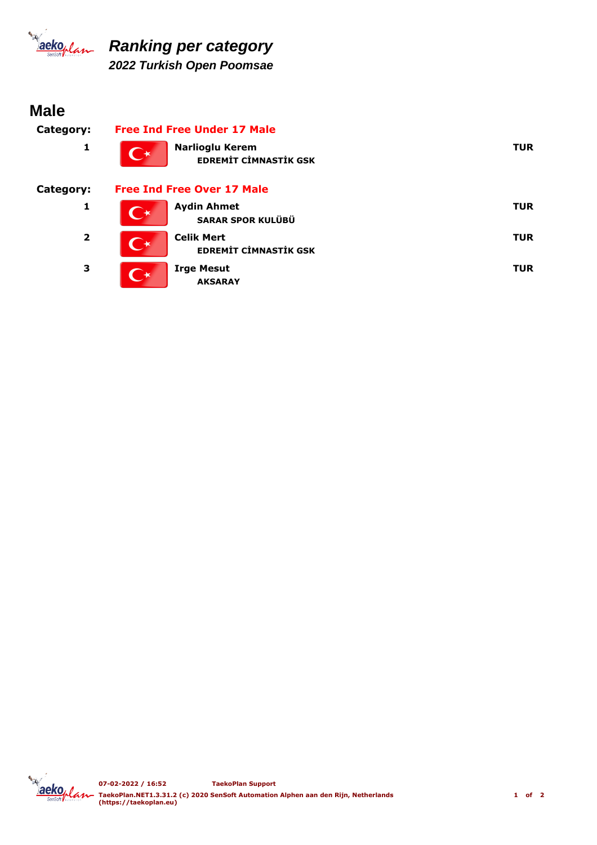

K

*2022 Turkish Open Poomsae*

### **Male**

| Category:               | <b>Free Ind Free Under 17 Male</b>                                        |            |
|-------------------------|---------------------------------------------------------------------------|------------|
| 1                       | Narlioglu Kerem<br><b>EDREMİT CİMNASTİK GSK</b>                           | <b>TUR</b> |
| Category:               | <b>Free Ind Free Over 17 Male</b>                                         |            |
| 1                       | <b>Aydin Ahmet</b><br>$\curvearrowright$<br><b>SARAR SPOR KULÜBÜ</b>      | <b>TUR</b> |
| $\overline{\mathbf{2}}$ | <b>Celik Mert</b><br>$\mathbf{C}$ $\star$<br><b>EDREMIT CIMNASTIK GSK</b> | <b>TUR</b> |
| З                       | <b>Irge Mesut</b>                                                         | <b>TUR</b> |

**Irge Mesut the Contract of Contract Contract of Contract Contract Contract Contract Contract Contract Contract Contract Contract Contract Contract Contract Contract Contract Contract Contract Contract Contract Contract Co**  $\rightarrow$ AKSARAY

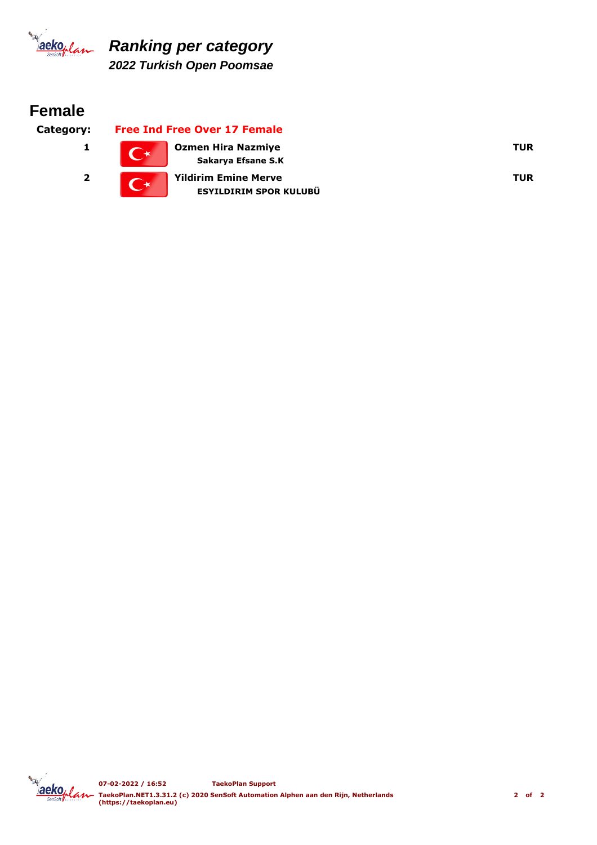

*2022 Turkish Open Poomsae*

### **Female**



#### Category: Free Ind Free Over 17 Female



Sakarya Efsane S.K

ESYILDIRIM SPOR KULUBÜ **Yildirim Emine Merve** TUR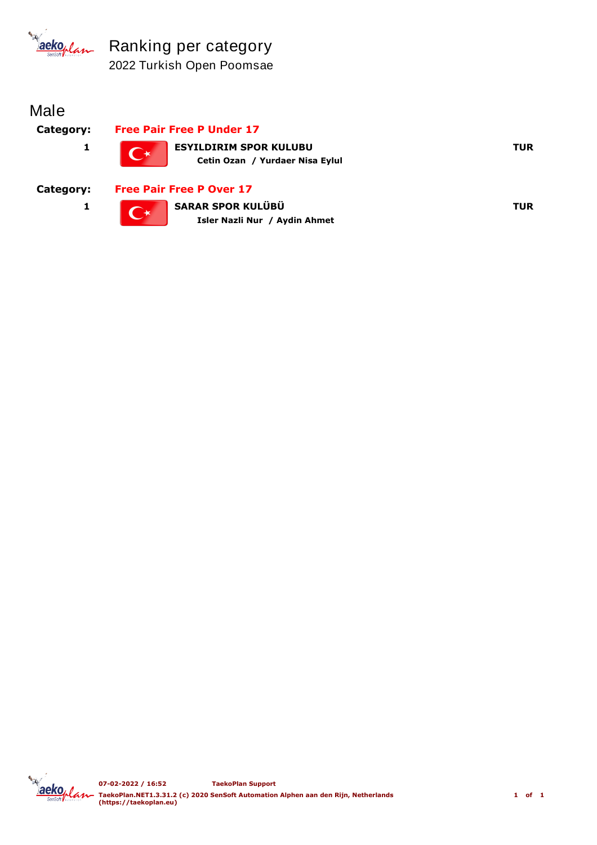



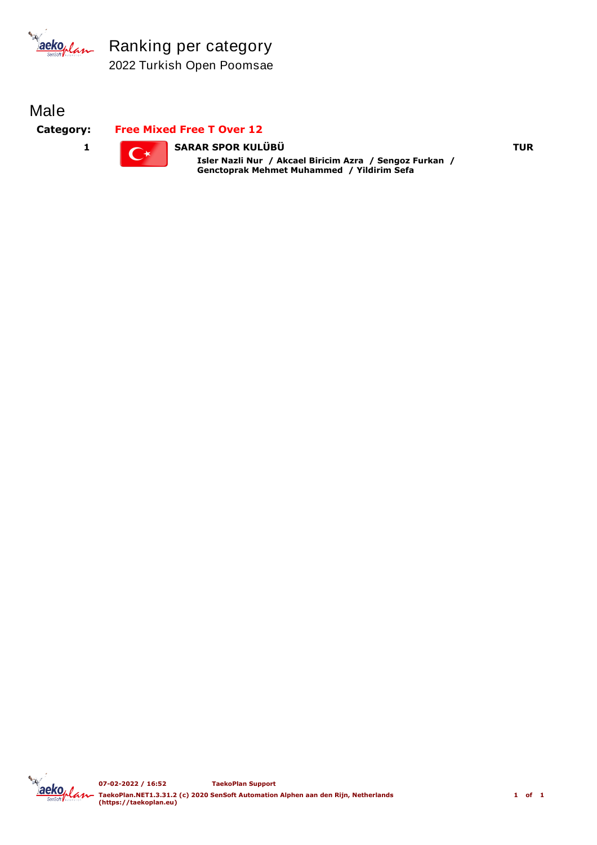

### *Ranking per category 2022 Turkish Open Poomsae*

Male

1

#### Category: Free Mixed Free T Over 12



SARAR SPOR KULÜBÜ TÜR TÜR

Isler Nazli Nur / Akcael Biricim Azra / Sengoz Furkan / Genctoprak Mehmet Muhammed / Yildirim Sefa

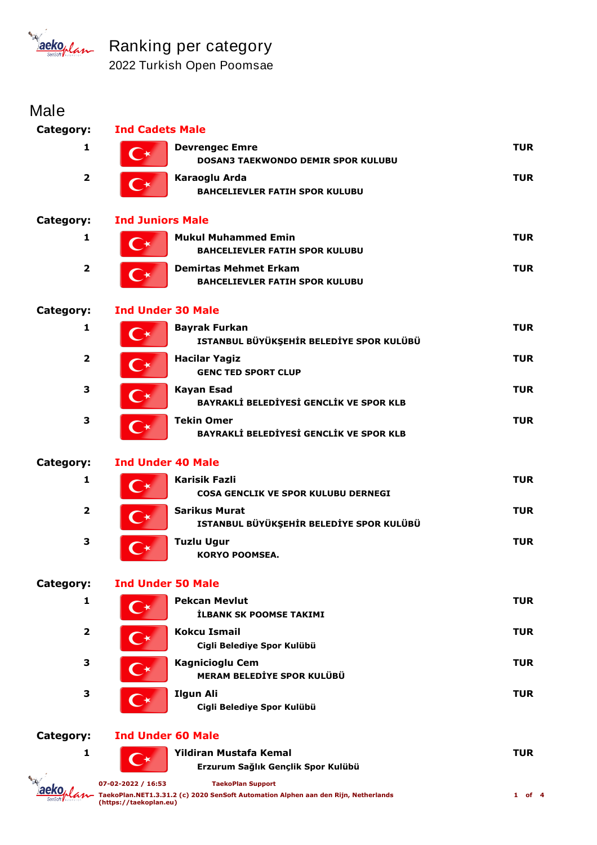

*2022 Turkish Open Poomsae*

| Male                    |                                                     |                                                                                                                |            |
|-------------------------|-----------------------------------------------------|----------------------------------------------------------------------------------------------------------------|------------|
| Category:               | <b>Ind Cadets Male</b>                              |                                                                                                                |            |
| 1                       |                                                     | <b>Devrengec Emre</b><br><b>DOSAN3 TAEKWONDO DEMIR SPOR KULUBU</b>                                             | <b>TUR</b> |
| $\overline{2}$          |                                                     | Karaoglu Arda<br><b>BAHCELIEVLER FATIH SPOR KULUBU</b>                                                         | <b>TUR</b> |
| Category:               | <b>Ind Juniors Male</b>                             |                                                                                                                |            |
| 1                       |                                                     | <b>Mukul Muhammed Emin</b><br><b>BAHCELIEVLER FATIH SPOR KULUBU</b>                                            | <b>TUR</b> |
| $\overline{\mathbf{2}}$ | $\left( \begin{array}{c} \star \end{array} \right)$ | <b>Demirtas Mehmet Erkam</b><br><b>BAHCELIEVLER FATIH SPOR KULUBU</b>                                          | <b>TUR</b> |
| Category:               | <b>Ind Under 30 Male</b>                            |                                                                                                                |            |
| 1                       |                                                     | <b>Bayrak Furkan</b><br>ISTANBUL BÜYÜKŞEHİR BELEDİYE SPOR KULÜBÜ                                               | <b>TUR</b> |
| $\overline{2}$          |                                                     | <b>Hacilar Yagiz</b><br><b>GENC TED SPORT CLUP</b>                                                             | <b>TUR</b> |
| 3                       |                                                     | <b>Kayan Esad</b><br>BAYRAKLİ BELEDİYESİ GENCLİK VE SPOR KLB                                                   | <b>TUR</b> |
| 3                       | $\bigcap \star$                                     | <b>Tekin Omer</b><br>BAYRAKLİ BELEDİYESİ GENCLİK VE SPOR KLB                                                   | <b>TUR</b> |
| Category:               | <b>Ind Under 40 Male</b>                            |                                                                                                                |            |
| 1                       |                                                     | Karisik Fazli<br><b>COSA GENCLIK VE SPOR KULUBU DERNEGI</b>                                                    | <b>TUR</b> |
| $\overline{\mathbf{2}}$ | $\mathsf{C} \star$                                  | <b>Sarikus Murat</b><br>ISTANBUL BÜYÜKŞEHİR BELEDİYE SPOR KULÜBÜ                                               | <b>TUR</b> |
| 3                       | $\epsilon$ $\star$                                  | <b>Tuzlu Ugur</b><br>KORYO POOMSEA.                                                                            | <b>TUR</b> |
| Category:               | <b>Ind Under 50 Male</b>                            |                                                                                                                |            |
| 1                       |                                                     | <b>Pekcan Mevlut</b><br>İLBANK SK POOMSE TAKIMI                                                                | <b>TUR</b> |
| $\overline{2}$          |                                                     | <b>Kokcu Ismail</b><br>Cigli Belediye Spor Kulübü                                                              | <b>TUR</b> |
| 3                       |                                                     | Kagnicioglu Cem<br>MERAM BELEDİYE SPOR KULÜBÜ                                                                  | <b>TUR</b> |
| 3                       |                                                     | <b>Ilgun Ali</b><br>Cigli Belediye Spor Kulübü                                                                 | <b>TUR</b> |
| Category:               | <b>Ind Under 60 Male</b>                            |                                                                                                                |            |
| 1                       |                                                     | Yildiran Mustafa Kemal<br>Erzurum Sağlık Gençlik Spor Kulübü                                                   | <b>TUR</b> |
|                         | 07-02-2022 / 16:53<br>(https://taekoplan.eu)        | <b>TaekoPlan Support</b><br>TaekoPlan.NET1.3.31.2 (c) 2020 SenSoft Automation Alphen aan den Rijn, Netherlands | $1$ of     |

 $\overline{\mathbf{4}}$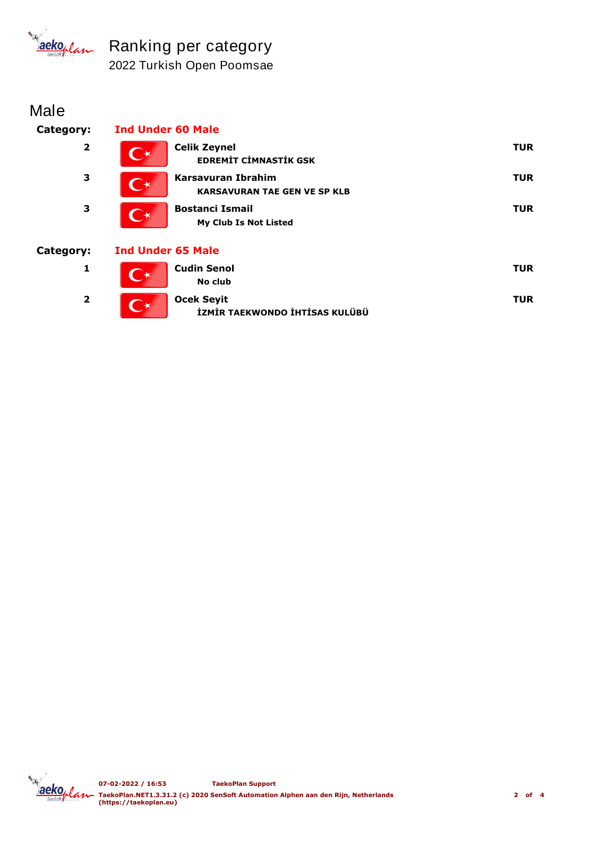

| Male                    |                                                                        |            |
|-------------------------|------------------------------------------------------------------------|------------|
| Category:               | <b>Ind Under 60 Male</b>                                               |            |
| $\overline{\mathbf{2}}$ | <b>Celik Zeynel</b><br><b>EDREMIT CIMNASTIK GSK</b>                    | <b>TUR</b> |
| 3                       | <b>Karsavuran Ibrahim</b><br>TO<br><b>KARSAVURAN TAE GEN VE SP KLB</b> | <b>TUR</b> |
| 3                       | <b>Bostanci Ismail</b><br>$\curvearrowright$<br>My Club Is Not Listed  | <b>TUR</b> |
| Category:               | <b>Ind Under 65 Male</b>                                               |            |
| 1                       | <b>Cudin Senol</b><br>No club                                          | <b>TUR</b> |
| $\overline{\mathbf{2}}$ | <b>Ocek Seyit</b><br>C<br>İZMİR TAEKWONDO İHTİSAS KULÜBÜ               | <b>TUR</b> |

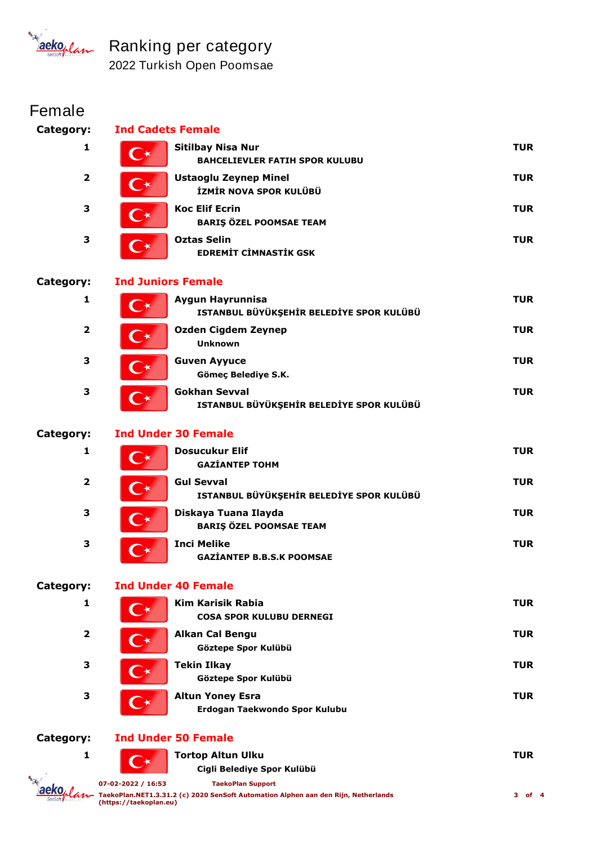

*2022 Turkish Open Poomsae*

| Female                  |                                                                                                              |            |
|-------------------------|--------------------------------------------------------------------------------------------------------------|------------|
| Category:               | <b>Ind Cadets Female</b>                                                                                     |            |
| 1                       | <b>Sitilbay Nisa Nur</b><br><b>BAHCELIEVLER FATIH SPOR KULUBU</b>                                            | <b>TUR</b> |
| $\overline{2}$          | <b>Ustaoglu Zeynep Minel</b><br>İZMİR NOVA SPOR KULÜBÜ                                                       | <b>TUR</b> |
| 3                       | <b>Koc Elif Ecrin</b><br><b>BARIŞ ÖZEL POOMSAE TEAM</b>                                                      | <b>TUR</b> |
| 3                       | <b>Oztas Selin</b><br><b>EDREMIT CIMNASTIK GSK</b>                                                           | <b>TUR</b> |
| <b>Category:</b>        | <b>Ind Juniors Female</b>                                                                                    |            |
| 1                       | Aygun Hayrunnisa<br>ISTANBUL BÜYÜKŞEHİR BELEDİYE SPOR KULÜBÜ                                                 | <b>TUR</b> |
| $\overline{2}$          | Ozden Cigdem Zeynep<br><b>Unknown</b>                                                                        | <b>TUR</b> |
| 3                       | <b>Guven Ayyuce</b><br>Gömeç Belediye S.K.                                                                   | <b>TUR</b> |
| 3                       | <b>Gokhan Sevval</b><br>$\rightarrow$<br>ISTANBUL BÜYÜKŞEHİR BELEDİYE SPOR KULÜBÜ                            | <b>TUR</b> |
| <b>Category:</b>        | <b>Ind Under 30 Female</b>                                                                                   |            |
| 1                       | <b>Dosucukur Elif</b><br><b>GAZIANTEP TOHM</b>                                                               | <b>TUR</b> |
| $\overline{\mathbf{2}}$ | <b>Gul Sevval</b><br>$\mathbb{C}^\star$<br>ISTANBUL BÜYÜKŞEHİR BELEDİYE SPOR KULÜBÜ                          | <b>TUR</b> |
| 3                       | Diskaya Tuana Ilayda<br>$\mathbb{C}^\star$<br><b>BARIŞ ÖZEL POOMSAE TEAM</b>                                 | <b>TUR</b> |
| 3                       | <b>Inci Melike</b><br>$\rightarrow$<br><b>GAZİANTEP B.B.S.K POOMSAE</b>                                      | <b>TUR</b> |
| Category:               | <b>Ind Under 40 Female</b>                                                                                   |            |
| 1                       | Kim Karisik Rabia<br><b>COSA SPOR KULUBU DERNEGI</b>                                                         | <b>TUR</b> |
| $\mathbf{2}$            | <b>Alkan Cal Bengu</b><br>Göztepe Spor Kulübü                                                                | <b>TUR</b> |
| 3                       | <b>Tekin Ilkay</b><br>Göztepe Spor Kulübü                                                                    | <b>TUR</b> |
| 3                       | <b>Altun Yoney Esra</b><br>Erdogan Taekwondo Spor Kulubu                                                     | <b>TUR</b> |
| Category:               | <b>Ind Under 50 Female</b>                                                                                   |            |
| 1                       | <b>Tortop Altun Ulku</b>                                                                                     | <b>TUR</b> |
|                         | Cigli Belediye Spor Kulübü<br>07-02-2022 / 16:53<br><b>TaekoPlan Support</b>                                 |            |
|                         | TaekoPlan.NET1.3.31.2 (c) 2020 SenSoft Automation Alphen aan den Rijn, Netherlands<br>(https://taekoplan.eu) | 3 of       |

 $\overline{4}$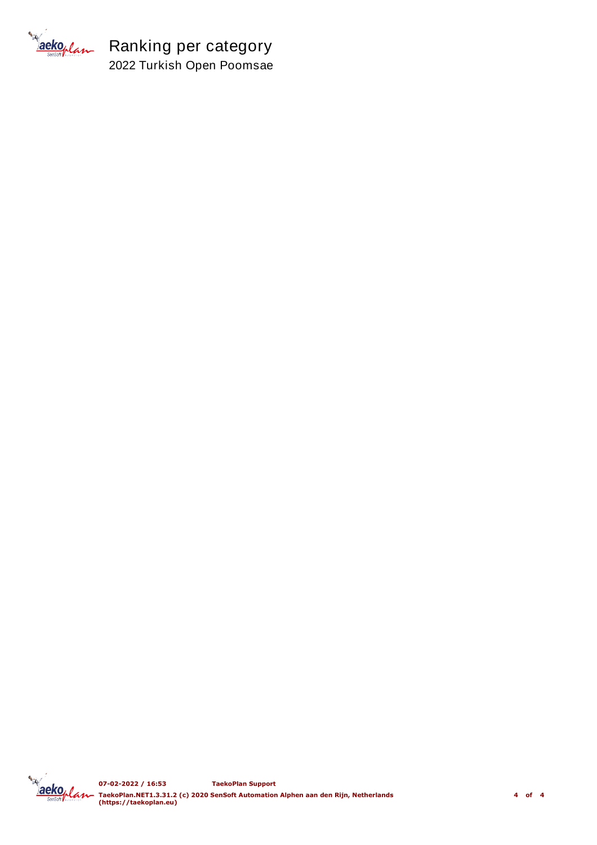

*Ranking per category 2022 Turkish Open Poomsae*

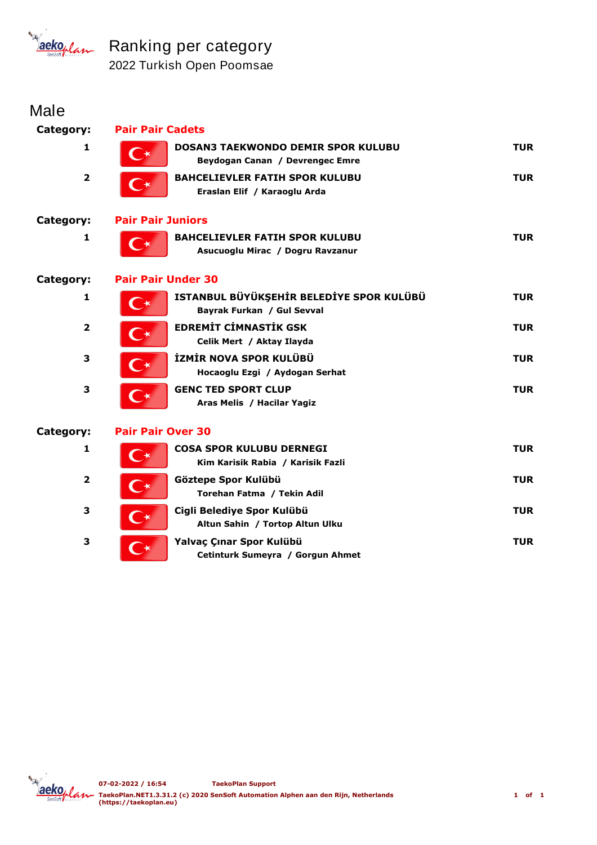

| Male                    |                                                                                                |            |
|-------------------------|------------------------------------------------------------------------------------------------|------------|
| Category:               | <b>Pair Pair Cadets</b>                                                                        |            |
| 1                       | DOSAN3 TAEKWONDO DEMIR SPOR KULUBU<br>$\bigcap$<br>Beydogan Canan / Devrengec Emre             | <b>TUR</b> |
| $\overline{2}$          | <b>BAHCELIEVLER FATIH SPOR KULUBU</b><br>Eraslan Elif / Karaoglu Arda                          | <b>TUR</b> |
| Category:               | <b>Pair Pair Juniors</b>                                                                       |            |
| 1                       | <b>BAHCELIEVLER FATIH SPOR KULUBU</b><br>ੋ★<br>Asucuoglu Mirac / Dogru Ravzanur                | <b>TUR</b> |
| <b>Category:</b>        | <b>Pair Pair Under 30</b>                                                                      |            |
| 1                       | ISTANBUL BÜYÜKŞEHİR BELEDİYE SPOR KULÜBÜ<br>$\mathbf{C}^\star$<br>Bayrak Furkan / Gul Sevval   | <b>TUR</b> |
| $\overline{\mathbf{2}}$ | <b>EDREMİT CİMNASTİK GSK</b><br>$\mathbf{C}^\star$<br>Celik Mert / Aktay Ilayda                | <b>TUR</b> |
| 3                       | İZMİR NOVA SPOR KULÜBÜ<br>$\Gamma\star$<br>Hocaoglu Ezgi / Aydogan Serhat                      | <b>TUR</b> |
| 3                       | <b>GENC TED SPORT CLUP</b><br>$\mathbf{C}^\star$<br>Aras Melis / Hacilar Yagiz                 | <b>TUR</b> |
| <b>Category:</b>        | <b>Pair Pair Over 30</b>                                                                       |            |
| 1                       | <b>COSA SPOR KULUBU DERNEGI</b><br>਼ਿ★<br>Kim Karisik Rabia / Karisik Fazli                    | <b>TUR</b> |
| $\overline{\mathbf{2}}$ | Göztepe Spor Kulübü<br>╶╶★<br>Torehan Fatma / Tekin Adil                                       | <b>TUR</b> |
| 3                       | Cigli Belediye Spor Kulübü<br>$\boldsymbol{\bigcap} \star$<br>Altun Sahin / Tortop Altun Ulku  | <b>TUR</b> |
| 3                       | Yalvaç Çınar Spor Kulübü<br>$\boldsymbol{\mathsf{C}}\star$<br>Cetinturk Sumeyra / Gorgun Ahmet | <b>TUR</b> |

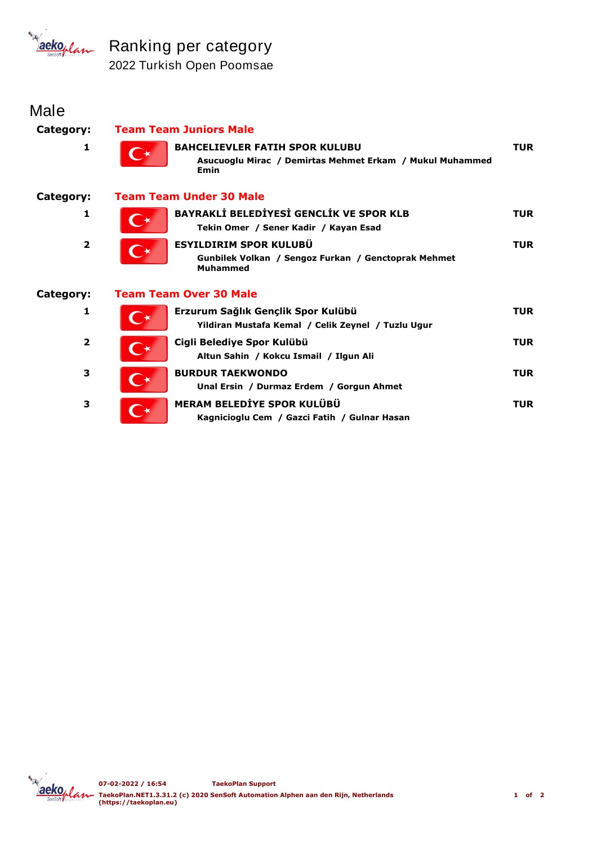

| Male                    |                                                                                                           |            |
|-------------------------|-----------------------------------------------------------------------------------------------------------|------------|
| Category:               | <b>Team Team Juniors Male</b>                                                                             |            |
| 1                       | <b>BAHCELIEVLER FATIH SPOR KULUBU</b><br>Asucuoglu Mirac / Demirtas Mehmet Erkam / Mukul Muhammed<br>Emin | <b>TUR</b> |
| Category:               | <b>Team Team Under 30 Male</b>                                                                            |            |
| 1                       | <b>BAYRAKLİ BELEDİYESİ GENCLİK VE SPOR KLB</b><br>Tekin Omer / Sener Kadir / Kayan Esad                   | <b>TUR</b> |
| $\overline{\mathbf{2}}$ | ESYILDIRIM SPOR KULUBÜ<br>Gunbilek Volkan / Sengoz Furkan / Genctoprak Mehmet<br><b>Muhammed</b>          | <b>TUR</b> |
| Category:               | <b>Team Team Over 30 Male</b>                                                                             |            |
| 1                       | Erzurum Sağlık Gençlik Spor Kulübü<br>Yildiran Mustafa Kemal / Celik Zeynel / Tuzlu Ugur                  | <b>TUR</b> |
| $\mathbf{2}$            | Cigli Belediye Spor Kulübü<br>$\rightarrow$<br>Altun Sahin / Kokcu Ismail / Ilgun Ali                     | <b>TUR</b> |
| 3                       | <b>BURDUR TAEKWONDO</b><br>Unal Ersin / Durmaz Erdem / Gorgun Ahmet                                       | <b>TUR</b> |
| 3                       | MERAM BELEDİYE SPOR KULÜBÜ<br>Kagnicioglu Cem / Gazci Fatih / Gulnar Hasan                                | <b>TUR</b> |